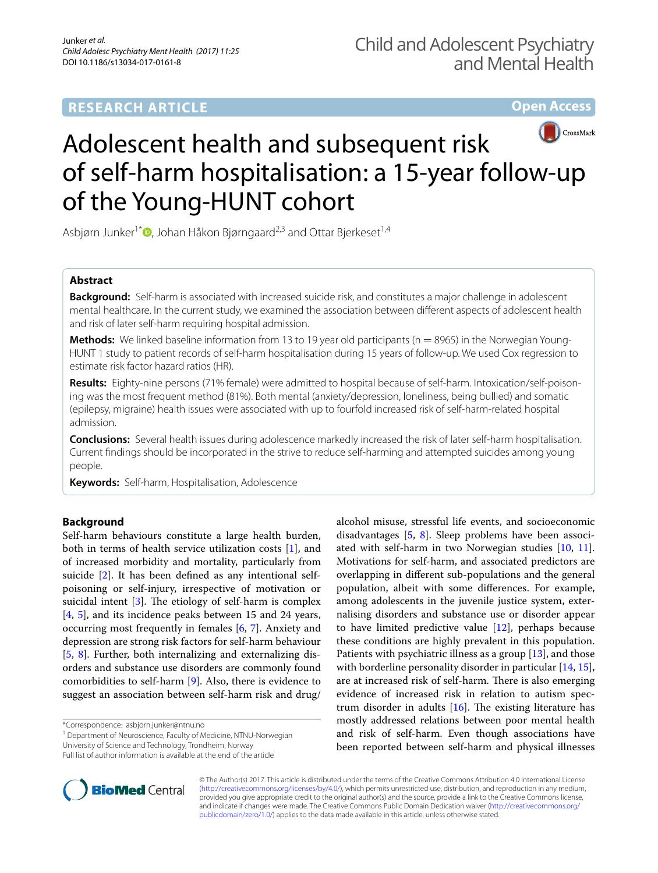# **RESEARCH ARTICLE**

**Open Access**



# Adolescent health and subsequent risk of self-harm hospitalisation: a 15-year follow-up of the Young-HUNT cohort

Asbjørn Junker<sup>1[\\*](http://orcid.org/0000-0002-2165-392X)</sup> $\bullet$ , Johan Håkon Bjørngaard<sup>2,3</sup> and Ottar Bjerkeset<sup>1,4</sup>

# **Abstract**

**Background:** Self-harm is associated with increased suicide risk, and constitutes a major challenge in adolescent mental healthcare. In the current study, we examined the association between diferent aspects of adolescent health and risk of later self-harm requiring hospital admission.

**Methods:** We linked baseline information from 13 to 19 year old participants (n = 8965) in the Norwegian Young-HUNT 1 study to patient records of self-harm hospitalisation during 15 years of follow-up. We used Cox regression to estimate risk factor hazard ratios (HR).

**Results:** Eighty-nine persons (71% female) were admitted to hospital because of self-harm. Intoxication/self-poisoning was the most frequent method (81%). Both mental (anxiety/depression, loneliness, being bullied) and somatic (epilepsy, migraine) health issues were associated with up to fourfold increased risk of self-harm-related hospital admission.

**Conclusions:** Several health issues during adolescence markedly increased the risk of later self-harm hospitalisation. Current fndings should be incorporated in the strive to reduce self-harming and attempted suicides among young people.

**Keywords:** Self-harm, Hospitalisation, Adolescence

# **Background**

Self-harm behaviours constitute a large health burden, both in terms of health service utilization costs [[1\]](#page-12-0), and of increased morbidity and mortality, particularly from suicide [[2](#page-12-1)]. It has been defned as any intentional selfpoisoning or self-injury, irrespective of motivation or suicidal intent  $[3]$  $[3]$ . The etiology of self-harm is complex [[4,](#page-12-3) [5](#page-12-4)], and its incidence peaks between 15 and 24 years, occurring most frequently in females [[6](#page-12-5), [7\]](#page-12-6). Anxiety and depression are strong risk factors for self-harm behaviour [[5,](#page-12-4) [8\]](#page-12-7). Further, both internalizing and externalizing disorders and substance use disorders are commonly found comorbidities to self-harm [[9\]](#page-12-8). Also, there is evidence to suggest an association between self-harm risk and drug/

\*Correspondence: asbjorn.junker@ntnu.no

<sup>1</sup> Department of Neuroscience, Faculty of Medicine, NTNU-Norwegian University of Science and Technology, Trondheim, Norway Full list of author information is available at the end of the article

alcohol misuse, stressful life events, and socioeconomic disadvantages [[5,](#page-12-4) [8](#page-12-7)]. Sleep problems have been associ-ated with self-harm in two Norwegian studies [\[10](#page-12-9), [11](#page-12-10)]. Motivations for self-harm, and associated predictors are overlapping in diferent sub-populations and the general population, albeit with some diferences. For example, among adolescents in the juvenile justice system, externalising disorders and substance use or disorder appear to have limited predictive value [\[12](#page-12-11)], perhaps because these conditions are highly prevalent in this population. Patients with psychiatric illness as a group [[13](#page-12-12)], and those with borderline personality disorder in particular [\[14,](#page-12-13) [15](#page-12-14)], are at increased risk of self-harm. There is also emerging evidence of increased risk in relation to autism spectrum disorder in adults  $[16]$  $[16]$ . The existing literature has mostly addressed relations between poor mental health and risk of self-harm. Even though associations have been reported between self-harm and physical illnesses



© The Author(s) 2017. This article is distributed under the terms of the Creative Commons Attribution 4.0 International License [\(http://creativecommons.org/licenses/by/4.0/\)](http://creativecommons.org/licenses/by/4.0/), which permits unrestricted use, distribution, and reproduction in any medium, provided you give appropriate credit to the original author(s) and the source, provide a link to the Creative Commons license, and indicate if changes were made. The Creative Commons Public Domain Dedication waiver ([http://creativecommons.org/](http://creativecommons.org/publicdomain/zero/1.0/) [publicdomain/zero/1.0/](http://creativecommons.org/publicdomain/zero/1.0/)) applies to the data made available in this article, unless otherwise stated.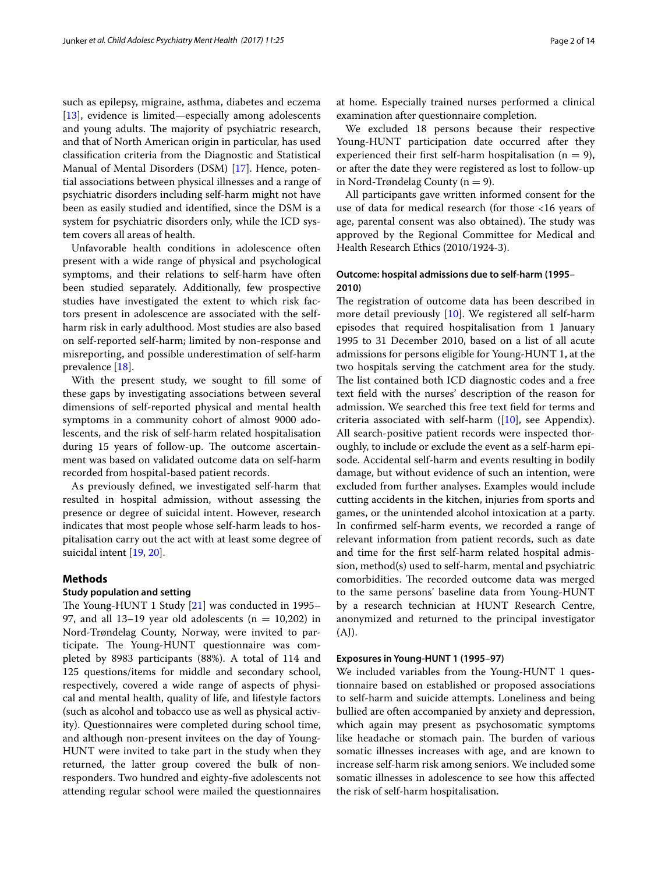such as epilepsy, migraine, asthma, diabetes and eczema [[13\]](#page-12-12), evidence is limited—especially among adolescents and young adults. The majority of psychiatric research, and that of North American origin in particular, has used classifcation criteria from the Diagnostic and Statistical Manual of Mental Disorders (DSM) [[17\]](#page-13-0). Hence, potential associations between physical illnesses and a range of psychiatric disorders including self-harm might not have been as easily studied and identifed, since the DSM is a system for psychiatric disorders only, while the ICD system covers all areas of health.

Unfavorable health conditions in adolescence often present with a wide range of physical and psychological symptoms, and their relations to self-harm have often been studied separately. Additionally, few prospective studies have investigated the extent to which risk factors present in adolescence are associated with the selfharm risk in early adulthood. Most studies are also based on self-reported self-harm; limited by non-response and misreporting, and possible underestimation of self-harm prevalence [\[18](#page-13-1)].

With the present study, we sought to fill some of these gaps by investigating associations between several dimensions of self-reported physical and mental health symptoms in a community cohort of almost 9000 adolescents, and the risk of self-harm related hospitalisation during 15 years of follow-up. The outcome ascertainment was based on validated outcome data on self-harm recorded from hospital-based patient records.

As previously defned, we investigated self-harm that resulted in hospital admission, without assessing the presence or degree of suicidal intent. However, research indicates that most people whose self-harm leads to hospitalisation carry out the act with at least some degree of suicidal intent [[19,](#page-13-2) [20](#page-13-3)].

## **Methods**

## **Study population and setting**

The Young-HUNT 1 Study  $[21]$  $[21]$  was conducted in 1995– 97, and all  $13-19$  year old adolescents ( $n = 10,202$ ) in Nord-Trøndelag County, Norway, were invited to participate. The Young-HUNT questionnaire was completed by 8983 participants (88%). A total of 114 and 125 questions/items for middle and secondary school, respectively, covered a wide range of aspects of physical and mental health, quality of life, and lifestyle factors (such as alcohol and tobacco use as well as physical activity). Questionnaires were completed during school time, and although non-present invitees on the day of Young-HUNT were invited to take part in the study when they returned, the latter group covered the bulk of nonresponders. Two hundred and eighty-fve adolescents not attending regular school were mailed the questionnaires at home. Especially trained nurses performed a clinical examination after questionnaire completion.

We excluded 18 persons because their respective Young-HUNT participation date occurred after they experienced their first self-harm hospitalisation ( $n = 9$ ), or after the date they were registered as lost to follow-up in Nord-Trøndelag County ( $n = 9$ ).

All participants gave written informed consent for the use of data for medical research (for those <16 years of age, parental consent was also obtained). The study was approved by the Regional Committee for Medical and Health Research Ethics (2010/1924-3).

# **Outcome: hospital admissions due to self‑harm (1995– 2010)**

The registration of outcome data has been described in more detail previously [\[10](#page-12-9)]. We registered all self-harm episodes that required hospitalisation from 1 January 1995 to 31 December 2010, based on a list of all acute admissions for persons eligible for Young-HUNT 1, at the two hospitals serving the catchment area for the study. The list contained both ICD diagnostic codes and a free text feld with the nurses' description of the reason for admission. We searched this free text feld for terms and criteria associated with self-harm  $([10]$  $([10]$ , see Appendix). All search-positive patient records were inspected thoroughly, to include or exclude the event as a self-harm episode. Accidental self-harm and events resulting in bodily damage, but without evidence of such an intention, were excluded from further analyses. Examples would include cutting accidents in the kitchen, injuries from sports and games, or the unintended alcohol intoxication at a party. In confrmed self-harm events, we recorded a range of relevant information from patient records, such as date and time for the frst self-harm related hospital admission, method(s) used to self-harm, mental and psychiatric comorbidities. The recorded outcome data was merged to the same persons' baseline data from Young-HUNT by a research technician at HUNT Research Centre, anonymized and returned to the principal investigator (AJ).

#### **Exposures in Young‑HUNT 1 (1995–97)**

We included variables from the Young-HUNT 1 questionnaire based on established or proposed associations to self-harm and suicide attempts. Loneliness and being bullied are often accompanied by anxiety and depression, which again may present as psychosomatic symptoms like headache or stomach pain. The burden of various somatic illnesses increases with age, and are known to increase self-harm risk among seniors. We included some somatic illnesses in adolescence to see how this afected the risk of self-harm hospitalisation.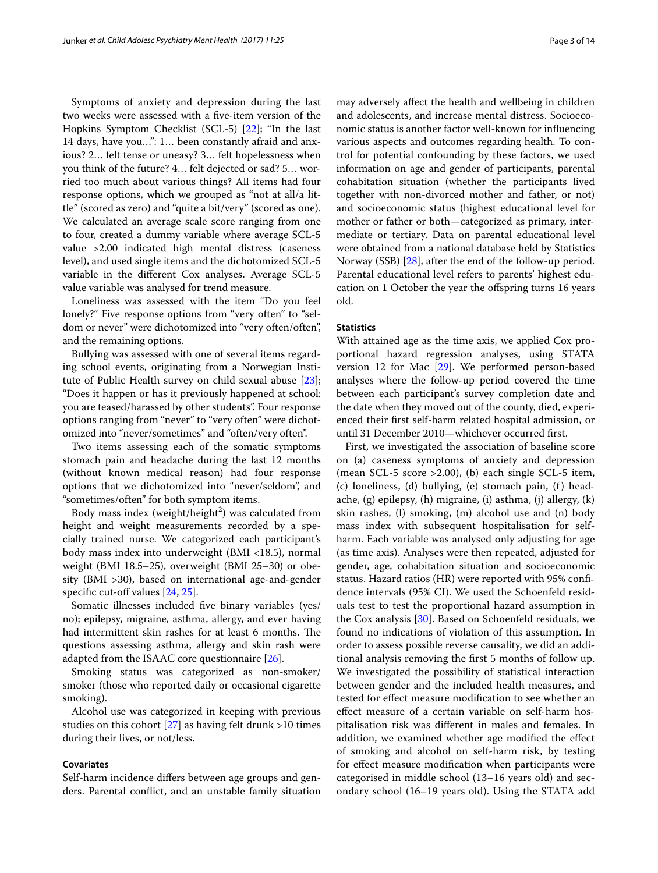Symptoms of anxiety and depression during the last two weeks were assessed with a fve-item version of the Hopkins Symptom Checklist (SCL-5) [\[22](#page-13-5)]; "In the last 14 days, have you…": 1… been constantly afraid and anxious? 2… felt tense or uneasy? 3… felt hopelessness when you think of the future? 4… felt dejected or sad? 5… worried too much about various things? All items had four response options, which we grouped as "not at all/a little" (scored as zero) and "quite a bit/very" (scored as one). We calculated an average scale score ranging from one to four, created a dummy variable where average SCL-5 value >2.00 indicated high mental distress (caseness level), and used single items and the dichotomized SCL-5 variable in the diferent Cox analyses. Average SCL-5 value variable was analysed for trend measure.

Loneliness was assessed with the item "Do you feel lonely?" Five response options from "very often" to "seldom or never" were dichotomized into "very often/often", and the remaining options.

Bullying was assessed with one of several items regarding school events, originating from a Norwegian Institute of Public Health survey on child sexual abuse [\[23](#page-13-6)]; "Does it happen or has it previously happened at school: you are teased/harassed by other students". Four response options ranging from "never" to "very often" were dichotomized into "never/sometimes" and "often/very often".

Two items assessing each of the somatic symptoms stomach pain and headache during the last 12 months (without known medical reason) had four response options that we dichotomized into "never/seldom", and "sometimes/often" for both symptom items.

Body mass index (weight/height<sup>2</sup>) was calculated from height and weight measurements recorded by a specially trained nurse. We categorized each participant's body mass index into underweight (BMI <18.5), normal weight (BMI 18.5–25), overweight (BMI 25–30) or obesity (BMI >30), based on international age-and-gender specific cut-off values  $[24, 25]$  $[24, 25]$  $[24, 25]$ .

Somatic illnesses included fve binary variables (yes/ no); epilepsy, migraine, asthma, allergy, and ever having had intermittent skin rashes for at least 6 months. The questions assessing asthma, allergy and skin rash were adapted from the ISAAC core questionnaire [\[26\]](#page-13-9).

Smoking status was categorized as non-smoker/ smoker (those who reported daily or occasional cigarette smoking).

Alcohol use was categorized in keeping with previous studies on this cohort [\[27](#page-13-10)] as having felt drunk >10 times during their lives, or not/less.

#### **Covariates**

Self-harm incidence difers between age groups and genders. Parental confict, and an unstable family situation may adversely afect the health and wellbeing in children and adolescents, and increase mental distress. Socioeconomic status is another factor well-known for infuencing various aspects and outcomes regarding health. To control for potential confounding by these factors, we used information on age and gender of participants, parental cohabitation situation (whether the participants lived together with non-divorced mother and father, or not) and socioeconomic status (highest educational level for mother or father or both—categorized as primary, intermediate or tertiary. Data on parental educational level were obtained from a national database held by Statistics Norway (SSB) [\[28\]](#page-13-11), after the end of the follow-up period. Parental educational level refers to parents' highest education on 1 October the year the ofspring turns 16 years old.

## **Statistics**

With attained age as the time axis, we applied Cox proportional hazard regression analyses, using STATA version 12 for Mac [\[29](#page-13-12)]. We performed person-based analyses where the follow-up period covered the time between each participant's survey completion date and the date when they moved out of the county, died, experienced their frst self-harm related hospital admission, or until 31 December 2010—whichever occurred frst.

First, we investigated the association of baseline score on (a) caseness symptoms of anxiety and depression (mean SCL-5 score  $>2.00$ ), (b) each single SCL-5 item, (c) loneliness, (d) bullying, (e) stomach pain, (f) headache, (g) epilepsy, (h) migraine, (i) asthma, (j) allergy, (k) skin rashes, (l) smoking, (m) alcohol use and (n) body mass index with subsequent hospitalisation for selfharm. Each variable was analysed only adjusting for age (as time axis). Analyses were then repeated, adjusted for gender, age, cohabitation situation and socioeconomic status. Hazard ratios (HR) were reported with 95% confdence intervals (95% CI). We used the Schoenfeld residuals test to test the proportional hazard assumption in the Cox analysis [\[30](#page-13-13)]. Based on Schoenfeld residuals, we found no indications of violation of this assumption. In order to assess possible reverse causality, we did an additional analysis removing the frst 5 months of follow up. We investigated the possibility of statistical interaction between gender and the included health measures, and tested for efect measure modifcation to see whether an efect measure of a certain variable on self-harm hospitalisation risk was diferent in males and females. In addition, we examined whether age modifed the efect of smoking and alcohol on self-harm risk, by testing for efect measure modifcation when participants were categorised in middle school (13–16 years old) and secondary school (16–19 years old). Using the STATA add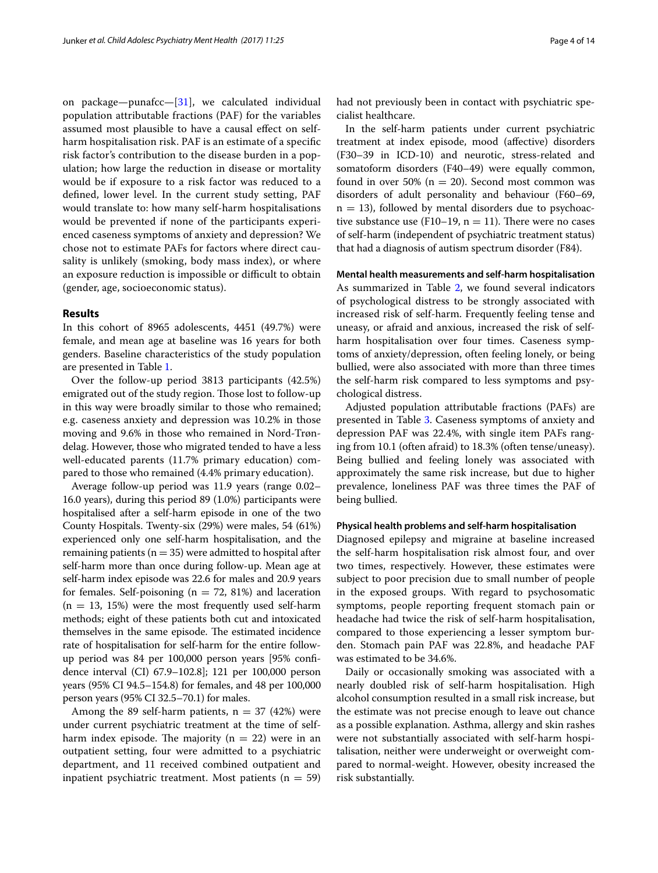on package—punafcc—[[31\]](#page-13-14), we calculated individual population attributable fractions (PAF) for the variables assumed most plausible to have a causal efect on selfharm hospitalisation risk. PAF is an estimate of a specifc risk factor's contribution to the disease burden in a population; how large the reduction in disease or mortality would be if exposure to a risk factor was reduced to a defned, lower level. In the current study setting, PAF would translate to: how many self-harm hospitalisations would be prevented if none of the participants experienced caseness symptoms of anxiety and depression? We chose not to estimate PAFs for factors where direct causality is unlikely (smoking, body mass index), or where an exposure reduction is impossible or difficult to obtain (gender, age, socioeconomic status).

## **Results**

In this cohort of 8965 adolescents, 4451 (49.7%) were female, and mean age at baseline was 16 years for both genders. Baseline characteristics of the study population are presented in Table [1.](#page-4-0)

Over the follow-up period 3813 participants (42.5%) emigrated out of the study region. Those lost to follow-up in this way were broadly similar to those who remained; e.g. caseness anxiety and depression was 10.2% in those moving and 9.6% in those who remained in Nord-Trøndelag. However, those who migrated tended to have a less well-educated parents (11.7% primary education) compared to those who remained (4.4% primary education).

Average follow-up period was 11.9 years (range 0.02– 16.0 years), during this period 89 (1.0%) participants were hospitalised after a self-harm episode in one of the two County Hospitals. Twenty-six (29%) were males, 54 (61%) experienced only one self-harm hospitalisation, and the remaining patients ( $n = 35$ ) were admitted to hospital after self-harm more than once during follow-up. Mean age at self-harm index episode was 22.6 for males and 20.9 years for females. Self-poisoning ( $n = 72, 81\%$ ) and laceration  $(n = 13, 15%)$  were the most frequently used self-harm methods; eight of these patients both cut and intoxicated themselves in the same episode. The estimated incidence rate of hospitalisation for self-harm for the entire followup period was 84 per 100,000 person years [95% confdence interval (CI) 67.9–102.8]; 121 per 100,000 person years (95% CI 94.5–154.8) for females, and 48 per 100,000 person years (95% CI 32.5–70.1) for males.

Among the 89 self-harm patients,  $n = 37$  (42%) were under current psychiatric treatment at the time of selfharm index episode. The majority ( $n = 22$ ) were in an outpatient setting, four were admitted to a psychiatric department, and 11 received combined outpatient and inpatient psychiatric treatment. Most patients  $(n = 59)$  had not previously been in contact with psychiatric specialist healthcare.

In the self-harm patients under current psychiatric treatment at index episode, mood (afective) disorders (F30–39 in ICD-10) and neurotic, stress-related and somatoform disorders (F40–49) were equally common, found in over 50% ( $n = 20$ ). Second most common was disorders of adult personality and behaviour (F60–69,  $n = 13$ ), followed by mental disorders due to psychoactive substance use (F10–19,  $n = 11$ ). There were no cases of self-harm (independent of psychiatric treatment status) that had a diagnosis of autism spectrum disorder (F84).

**Mental health measurements and self‑harm hospitalisation** As summarized in Table [2,](#page-6-0) we found several indicators of psychological distress to be strongly associated with increased risk of self-harm. Frequently feeling tense and uneasy, or afraid and anxious, increased the risk of selfharm hospitalisation over four times. Caseness symptoms of anxiety/depression, often feeling lonely, or being bullied, were also associated with more than three times the self-harm risk compared to less symptoms and psychological distress.

Adjusted population attributable fractions (PAFs) are presented in Table [3](#page-8-0). Caseness symptoms of anxiety and depression PAF was 22.4%, with single item PAFs ranging from 10.1 (often afraid) to 18.3% (often tense/uneasy). Being bullied and feeling lonely was associated with approximately the same risk increase, but due to higher prevalence, loneliness PAF was three times the PAF of being bullied.

#### **Physical health problems and self‑harm hospitalisation**

Diagnosed epilepsy and migraine at baseline increased the self-harm hospitalisation risk almost four, and over two times, respectively. However, these estimates were subject to poor precision due to small number of people in the exposed groups. With regard to psychosomatic symptoms, people reporting frequent stomach pain or headache had twice the risk of self-harm hospitalisation, compared to those experiencing a lesser symptom burden. Stomach pain PAF was 22.8%, and headache PAF was estimated to be 34.6%.

Daily or occasionally smoking was associated with a nearly doubled risk of self-harm hospitalisation. High alcohol consumption resulted in a small risk increase, but the estimate was not precise enough to leave out chance as a possible explanation. Asthma, allergy and skin rashes were not substantially associated with self-harm hospitalisation, neither were underweight or overweight compared to normal-weight. However, obesity increased the risk substantially.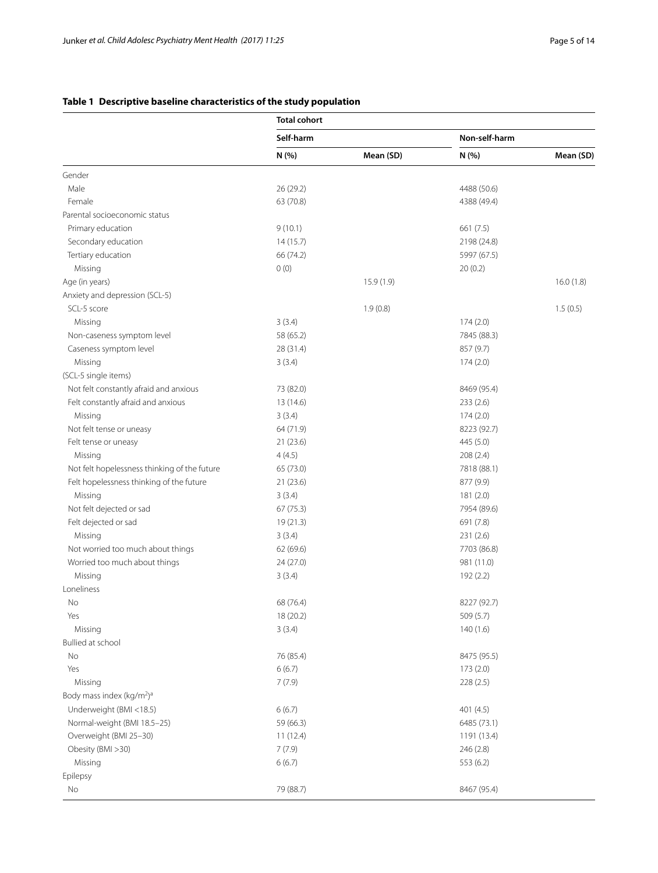# <span id="page-4-0"></span>**Table 1 Descriptive baseline characteristics of the study population**

|                                                   | <b>Total cohort</b> |           |               |           |
|---------------------------------------------------|---------------------|-----------|---------------|-----------|
|                                                   | Self-harm           |           | Non-self-harm |           |
|                                                   | N (%)               | Mean (SD) | N (%)         | Mean (SD) |
| Gender                                            |                     |           |               |           |
| Male                                              | 26 (29.2)           |           | 4488 (50.6)   |           |
| Female                                            | 63 (70.8)           |           | 4388 (49.4)   |           |
| Parental socioeconomic status                     |                     |           |               |           |
| Primary education                                 | 9(10.1)             |           | 661 (7.5)     |           |
| Secondary education                               | 14(15.7)            |           | 2198 (24.8)   |           |
| Tertiary education                                | 66 (74.2)           |           | 5997 (67.5)   |           |
| Missing                                           | 0(0)                |           | 20(0.2)       |           |
| Age (in years)                                    |                     | 15.9(1.9) |               | 16.0(1.8) |
| Anxiety and depression (SCL-5)                    |                     |           |               |           |
| SCL-5 score                                       |                     | 1.9(0.8)  |               | 1.5(0.5)  |
| Missing                                           | 3(3.4)              |           | 174(2.0)      |           |
| Non-caseness symptom level                        | 58 (65.2)           |           | 7845 (88.3)   |           |
| Caseness symptom level                            | 28 (31.4)           |           | 857 (9.7)     |           |
| Missing                                           | 3(3.4)              |           | 174(2.0)      |           |
| (SCL-5 single items)                              |                     |           |               |           |
| Not felt constantly afraid and anxious            | 73 (82.0)           |           | 8469 (95.4)   |           |
| Felt constantly afraid and anxious                | 13 (14.6)           |           | 233(2.6)      |           |
| Missing                                           | 3(3.4)              |           | 174(2.0)      |           |
| Not felt tense or uneasy                          | 64 (71.9)           |           | 8223 (92.7)   |           |
| Felt tense or uneasy                              | 21(23.6)            |           | 445 (5.0)     |           |
| Missing                                           | 4(4.5)              |           | 208 (2.4)     |           |
| Not felt hopelessness thinking of the future      | 65 (73.0)           |           | 7818 (88.1)   |           |
| Felt hopelessness thinking of the future          | 21(23.6)            |           | 877 (9.9)     |           |
| Missing                                           | 3(3.4)              |           | 181(2.0)      |           |
| Not felt dejected or sad                          | 67 (75.3)           |           | 7954 (89.6)   |           |
| Felt dejected or sad                              | 19 (21.3)           |           | 691 (7.8)     |           |
| Missing                                           | 3(3.4)              |           | 231(2.6)      |           |
| Not worried too much about things                 | 62 (69.6)           |           | 7703 (86.8)   |           |
| Worried too much about things                     | 24(27.0)            |           | 981 (11.0)    |           |
| Missing                                           | 3(3.4)              |           | 192(2.2)      |           |
| Loneliness                                        |                     |           |               |           |
| No                                                | 68 (76.4)           |           | 8227 (92.7)   |           |
| Yes                                               | 18 (20.2)           |           | 509 (5.7)     |           |
| Missing                                           | 3(3.4)              |           | 140(1.6)      |           |
| Bullied at school                                 |                     |           |               |           |
| No                                                | 76 (85.4)           |           | 8475 (95.5)   |           |
| Yes                                               | 6(6.7)              |           | 173(2.0)      |           |
| Missing                                           | 7(7.9)              |           | 228(2.5)      |           |
| Body mass index (kg/m <sup>2</sup> ) <sup>a</sup> |                     |           |               |           |
| Underweight (BMI <18.5)                           | 6(6.7)              |           | 401 (4.5)     |           |
| Normal-weight (BMI 18.5-25)                       | 59 (66.3)           |           | 6485 (73.1)   |           |
| Overweight (BMI 25-30)                            | 11(12.4)            |           | 1191 (13.4)   |           |
| Obesity (BMI > 30)                                | 7(7.9)              |           | 246 (2.8)     |           |
| Missing                                           | 6(6.7)              |           | 553 (6.2)     |           |
| Epilepsy                                          |                     |           |               |           |
| No                                                | 79 (88.7)           |           | 8467 (95.4)   |           |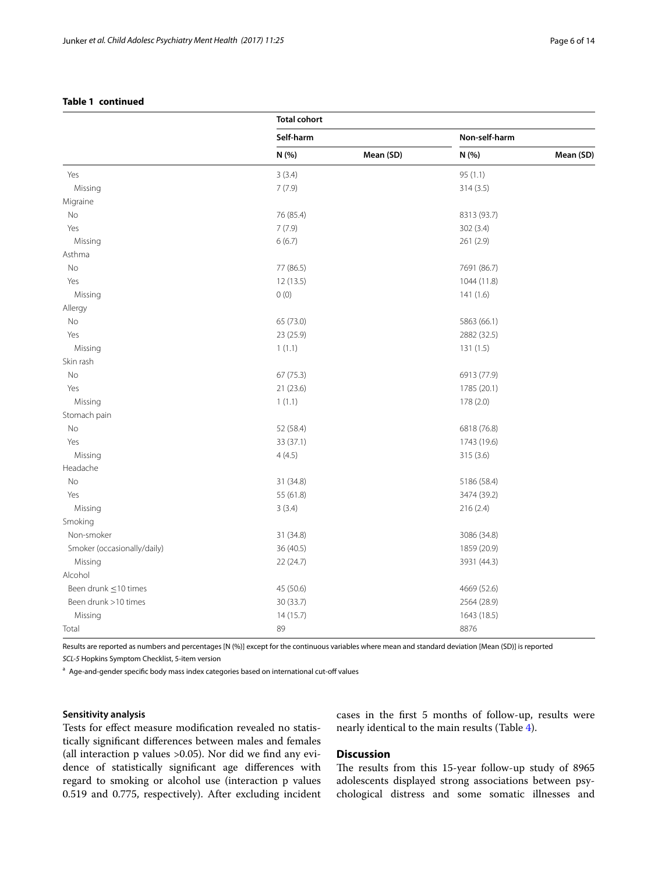# **Table 1 continued**

|                             | <b>Total cohort</b> |           |               |           |
|-----------------------------|---------------------|-----------|---------------|-----------|
|                             | Self-harm           |           | Non-self-harm |           |
|                             | N (%)               | Mean (SD) | N (%)         | Mean (SD) |
| Yes                         | 3(3.4)              |           | 95(1.1)       |           |
| Missing                     | 7(7.9)              |           | 314(3.5)      |           |
| Migraine                    |                     |           |               |           |
| No                          | 76 (85.4)           |           | 8313 (93.7)   |           |
| Yes                         | 7(7.9)              |           | 302 (3.4)     |           |
| Missing                     | 6(6.7)              |           | 261 (2.9)     |           |
| Asthma                      |                     |           |               |           |
| No                          | 77 (86.5)           |           | 7691 (86.7)   |           |
| Yes                         | 12(13.5)            |           | 1044 (11.8)   |           |
| Missing                     | $0\ (0)$            |           | 141 (1.6)     |           |
| Allergy                     |                     |           |               |           |
| No                          | 65 (73.0)           |           | 5863 (66.1)   |           |
| Yes                         | 23 (25.9)           |           | 2882 (32.5)   |           |
| Missing                     | 1(1.1)              |           | 131 (1.5)     |           |
| Skin rash                   |                     |           |               |           |
| No                          | 67 (75.3)           |           | 6913 (77.9)   |           |
| Yes                         | 21 (23.6)           |           | 1785 (20.1)   |           |
| Missing                     | 1(1.1)              |           | 178 (2.0)     |           |
| Stomach pain                |                     |           |               |           |
| No                          | 52 (58.4)           |           | 6818 (76.8)   |           |
| Yes                         | 33 (37.1)           |           | 1743 (19.6)   |           |
| Missing                     | 4(4.5)              |           | 315(3.6)      |           |
| Headache                    |                     |           |               |           |
| No                          | 31 (34.8)           |           | 5186 (58.4)   |           |
| Yes                         | 55 (61.8)           |           | 3474 (39.2)   |           |
| Missing                     | 3(3.4)              |           | 216(2.4)      |           |
| Smoking                     |                     |           |               |           |
| Non-smoker                  | 31 (34.8)           |           | 3086 (34.8)   |           |
| Smoker (occasionally/daily) | 36 (40.5)           |           | 1859 (20.9)   |           |
| Missing                     | 22 (24.7)           |           | 3931 (44.3)   |           |
| Alcohol                     |                     |           |               |           |
| Been drunk ≤10 times        | 45 (50.6)           |           | 4669 (52.6)   |           |
| Been drunk >10 times        | 30 (33.7)           |           | 2564 (28.9)   |           |
| Missing                     | 14(15.7)            |           | 1643 (18.5)   |           |
| Total                       | 89                  |           | 8876          |           |

Results are reported as numbers and percentages [N (%)] except for the continuous variables where mean and standard deviation [Mean (SD)] is reported *SCL-5* Hopkins Symptom Checklist, 5-item version

<sup>a</sup> Age-and-gender specific body mass index categories based on international cut-off values

## **Sensitivity analysis**

Tests for efect measure modifcation revealed no statistically signifcant diferences between males and females (all interaction p values >0.05). Nor did we fnd any evidence of statistically signifcant age diferences with regard to smoking or alcohol use (interaction p values 0.519 and 0.775, respectively). After excluding incident cases in the frst 5 months of follow-up, results were nearly identical to the main results (Table [4\)](#page-9-0).

# **Discussion**

The results from this 15-year follow-up study of 8965 adolescents displayed strong associations between psychological distress and some somatic illnesses and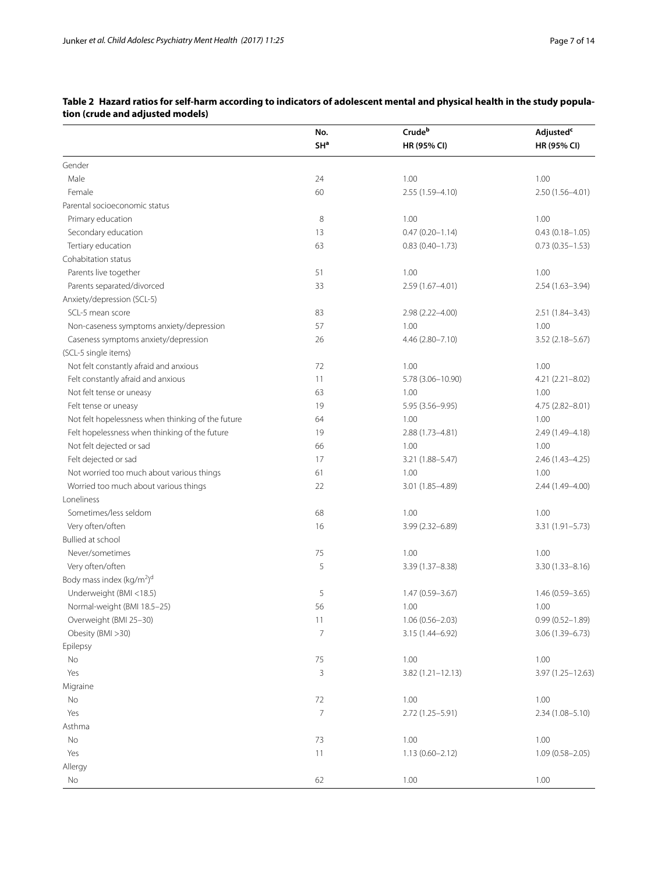|                                                   | No.            | <b>Crude</b> b      | Adjusted <sup>c</sup> |
|---------------------------------------------------|----------------|---------------------|-----------------------|
|                                                   | <b>SHª</b>     | HR (95% CI)         | HR (95% CI)           |
| Gender                                            |                |                     |                       |
| Male                                              | 24             | 1.00                | 1.00                  |
| Female                                            | 60             | 2.55 (1.59-4.10)    | 2.50 (1.56-4.01)      |
| Parental socioeconomic status                     |                |                     |                       |
| Primary education                                 | 8              | 1.00                | 1.00                  |
| Secondary education                               | 13             | $0.47(0.20 - 1.14)$ | $0.43(0.18 - 1.05)$   |
| Tertiary education                                | 63             | $0.83(0.40 - 1.73)$ | $0.73(0.35 - 1.53)$   |
| Cohabitation status                               |                |                     |                       |
| Parents live together                             | 51             | 1.00                | 1.00                  |
| Parents separated/divorced                        | 33             | 2.59 (1.67-4.01)    | 2.54 (1.63-3.94)      |
| Anxiety/depression (SCL-5)                        |                |                     |                       |
| SCL-5 mean score                                  | 83             | 2.98 (2.22-4.00)    | 2.51 (1.84-3.43)      |
| Non-caseness symptoms anxiety/depression          | 57             | 1.00                | 1.00                  |
| Caseness symptoms anxiety/depression              | 26             | 4.46 (2.80-7.10)    | $3.52(2.18 - 5.67)$   |
| (SCL-5 single items)                              |                |                     |                       |
| Not felt constantly afraid and anxious            | 72             | 1.00                | 1.00                  |
| Felt constantly afraid and anxious                | 11             | 5.78 (3.06-10.90)   | 4.21 (2.21-8.02)      |
| Not felt tense or uneasy                          | 63             | 1.00                | 1.00                  |
| Felt tense or uneasy                              | 19             | 5.95 (3.56-9.95)    | 4.75 (2.82-8.01)      |
| Not felt hopelessness when thinking of the future | 64             | 1.00                | 1.00                  |
| Felt hopelessness when thinking of the future     | 19             | 2.88 (1.73-4.81)    | 2.49 (1.49-4.18)      |
| Not felt dejected or sad                          | 66             | 1.00                | 1.00                  |
| Felt dejected or sad                              | 17             | 3.21 (1.88-5.47)    | 2.46 (1.43-4.25)      |
| Not worried too much about various things         | 61             | 1.00                | 1.00                  |
| Worried too much about various things             | 22             | 3.01 (1.85-4.89)    | 2.44 (1.49-4.00)      |
| Loneliness                                        |                |                     |                       |
| Sometimes/less seldom                             | 68             | 1.00                | 1.00                  |
| Very often/often                                  | 16             | 3.99 (2.32-6.89)    | $3.31(1.91 - 5.73)$   |
| Bullied at school                                 |                |                     |                       |
| Never/sometimes                                   | 75             | 1.00                | 1.00                  |
| Very often/often                                  | 5              | 3.39 (1.37-8.38)    | $3.30(1.33 - 8.16)$   |
| Body mass index (kg/m <sup>2</sup> ) <sup>d</sup> |                |                     |                       |
| Underweight (BMI <18.5)                           | 5              | 1.47 (0.59-3.67)    | 1.46 (0.59-3.65)      |
| Normal-weight (BMI 18.5-25)                       | 56             | 1.00                | 1.00                  |
| Overweight (BMI 25-30)                            | 11             | $1.06(0.56 - 2.03)$ | $0.99(0.52 - 1.89)$   |
| Obesity (BMI > 30)                                | 7              | 3.15 (1.44-6.92)    | $3.06(1.39 - 6.73)$   |
| Epilepsy                                          |                |                     |                       |
| No                                                | 75             | 1.00                | 1.00                  |
| Yes                                               | 3              | 3.82 (1.21-12.13)   | 3.97 (1.25-12.63)     |
| Migraine                                          |                |                     |                       |
| No                                                | 72             | 1.00                | 1.00                  |
| Yes                                               | $\overline{7}$ | 2.72 (1.25-5.91)    | 2.34 (1.08-5.10)      |
| Asthma                                            |                |                     |                       |
| No                                                | 73             | 1.00                | 1.00                  |
| Yes                                               | 11             | $1.13(0.60 - 2.12)$ | $1.09(0.58 - 2.05)$   |
| Allergy                                           |                |                     |                       |
| No                                                | 62             | 1.00                | 1.00                  |
|                                                   |                |                     |                       |

# <span id="page-6-0"></span>**Table 2 Hazard ratios for self-harm according to indicators of adolescent mental and physical health in the study population (crude and adjusted models)**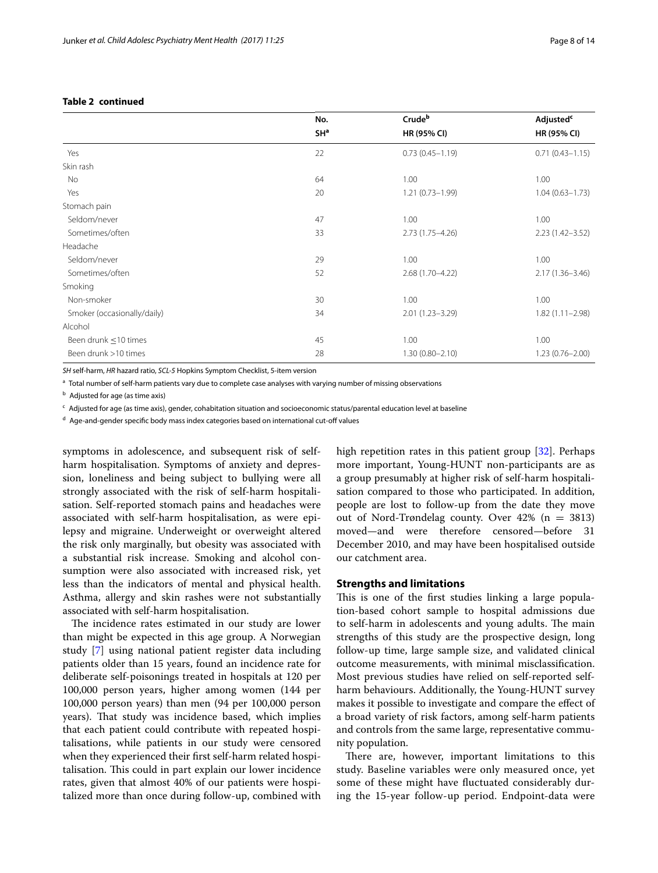# **Table 2 continued**

|                             | No.                   | Crudeb              | <b>Adjusted<sup>c</sup></b> |
|-----------------------------|-----------------------|---------------------|-----------------------------|
|                             | <b>SH<sup>a</sup></b> | HR (95% CI)         | HR (95% CI)                 |
| Yes                         | 22                    | $0.73(0.45 - 1.19)$ | $0.71(0.43 - 1.15)$         |
| Skin rash                   |                       |                     |                             |
| No                          | 64                    | 1.00                | 1.00                        |
| Yes                         | 20                    | $1.21(0.73 - 1.99)$ | $1.04(0.63 - 1.73)$         |
| Stomach pain                |                       |                     |                             |
| Seldom/never                | 47                    | 1.00                | 1.00                        |
| Sometimes/often             | 33                    | $2.73(1.75 - 4.26)$ | $2.23(1.42 - 3.52)$         |
| Headache                    |                       |                     |                             |
| Seldom/never                | 29                    | 1.00                | 1.00                        |
| Sometimes/often             | 52                    | 2.68 (1.70-4.22)    | $2.17(1.36 - 3.46)$         |
| Smoking                     |                       |                     |                             |
| Non-smoker                  | 30                    | 1.00                | 1.00                        |
| Smoker (occasionally/daily) | 34                    | $2.01(1.23 - 3.29)$ | $1.82(1.11 - 2.98)$         |
| Alcohol                     |                       |                     |                             |
| Been drunk $\leq$ 10 times  | 45                    | 1.00                | 1.00                        |
| Been drunk >10 times        | 28                    | $1.30(0.80 - 2.10)$ | $1.23(0.76 - 2.00)$         |

*SH* self-harm, *HR* hazard ratio, *SCL-5* Hopkins Symptom Checklist, 5-item version

<sup>a</sup> Total number of self-harm patients vary due to complete case analyses with varying number of missing observations

<sup>b</sup> Adjusted for age (as time axis)

<sup>c</sup> Adjusted for age (as time axis), gender, cohabitation situation and socioeconomic status/parental education level at baseline

d Age-and-gender specific body mass index categories based on international cut-off values

symptoms in adolescence, and subsequent risk of selfharm hospitalisation. Symptoms of anxiety and depression, loneliness and being subject to bullying were all strongly associated with the risk of self-harm hospitalisation. Self-reported stomach pains and headaches were associated with self-harm hospitalisation, as were epilepsy and migraine. Underweight or overweight altered the risk only marginally, but obesity was associated with a substantial risk increase. Smoking and alcohol consumption were also associated with increased risk, yet less than the indicators of mental and physical health. Asthma, allergy and skin rashes were not substantially associated with self-harm hospitalisation.

The incidence rates estimated in our study are lower than might be expected in this age group. A Norwegian study [\[7](#page-12-6)] using national patient register data including patients older than 15 years, found an incidence rate for deliberate self-poisonings treated in hospitals at 120 per 100,000 person years, higher among women (144 per 100,000 person years) than men (94 per 100,000 person years). That study was incidence based, which implies that each patient could contribute with repeated hospitalisations, while patients in our study were censored when they experienced their frst self-harm related hospitalisation. This could in part explain our lower incidence rates, given that almost 40% of our patients were hospitalized more than once during follow-up, combined with high repetition rates in this patient group [\[32](#page-13-15)]. Perhaps more important, Young-HUNT non-participants are as a group presumably at higher risk of self-harm hospitalisation compared to those who participated. In addition, people are lost to follow-up from the date they move out of Nord-Trøndelag county. Over  $42\%$  (n = 3813) moved—and were therefore censored—before 31 December 2010, and may have been hospitalised outside our catchment area.

## **Strengths and limitations**

This is one of the first studies linking a large population-based cohort sample to hospital admissions due to self-harm in adolescents and young adults. The main strengths of this study are the prospective design, long follow-up time, large sample size, and validated clinical outcome measurements, with minimal misclassifcation. Most previous studies have relied on self-reported selfharm behaviours. Additionally, the Young-HUNT survey makes it possible to investigate and compare the efect of a broad variety of risk factors, among self-harm patients and controls from the same large, representative community population.

There are, however, important limitations to this study. Baseline variables were only measured once, yet some of these might have fuctuated considerably during the 15-year follow-up period. Endpoint-data were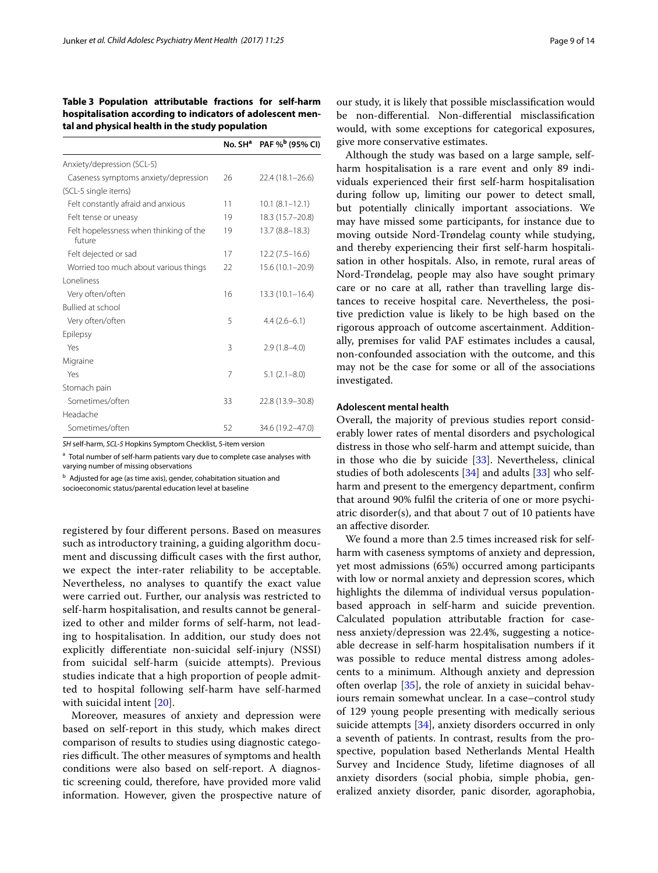<span id="page-8-0"></span>**Table 3 Population attributable fractions for self-harm hospitalisation according to indicators of adolescent mental and physical health in the study population**

|                                                  |    | No. SH <sup>a</sup> PAF % <sup>b</sup> (95% CI) |
|--------------------------------------------------|----|-------------------------------------------------|
| Anxiety/depression (SCL-5)                       |    |                                                 |
| Caseness symptoms anxiety/depression             | 26 | 22.4 (18.1–26.6)                                |
| (SCL-5 single items)                             |    |                                                 |
| Felt constantly afraid and anxious               | 11 | $10.1 (8.1 - 12.1)$                             |
| Felt tense or uneasy                             | 19 | 18.3 (15.7-20.8)                                |
| Felt hopelessness when thinking of the<br>future | 19 | $13.7(8.8 - 18.3)$                              |
| Felt dejected or sad                             | 17 | $12.2(7.5-16.6)$                                |
| Worried too much about various things            | 22 | 15.6 (10.1-20.9)                                |
| <b>Loneliness</b>                                |    |                                                 |
| Very often/often                                 | 16 | $13.3(10.1 - 16.4)$                             |
| <b>Bullied at school</b>                         |    |                                                 |
| Very often/often                                 | 5  | $4.4(2.6-6.1)$                                  |
| Epilepsy                                         |    |                                                 |
| Yes                                              | 3  | $2.9(1.8-4.0)$                                  |
| Migraine                                         |    |                                                 |
| Yes                                              | 7  | $5.1(2.1 - 8.0)$                                |
| Stomach pain                                     |    |                                                 |
| Sometimes/often                                  | 33 | 22.8 (13.9-30.8)                                |
| Headache                                         |    |                                                 |
| Sometimes/often                                  | 52 | 34.6 (19.2-47.0)                                |

*SH* self-harm, *SCL-5* Hopkins Symptom Checklist, 5-item version

<sup>a</sup> Total number of self-harm patients vary due to complete case analyses with varying number of missing observations

b Adjusted for age (as time axis), gender, cohabitation situation and socioeconomic status/parental education level at baseline

registered by four diferent persons. Based on measures such as introductory training, a guiding algorithm document and discussing difficult cases with the first author, we expect the inter-rater reliability to be acceptable. Nevertheless, no analyses to quantify the exact value were carried out. Further, our analysis was restricted to self-harm hospitalisation, and results cannot be generalized to other and milder forms of self-harm, not leading to hospitalisation. In addition, our study does not explicitly diferentiate non-suicidal self-injury (NSSI) from suicidal self-harm (suicide attempts). Previous studies indicate that a high proportion of people admitted to hospital following self-harm have self-harmed with suicidal intent [[20\]](#page-13-3).

Moreover, measures of anxiety and depression were based on self-report in this study, which makes direct comparison of results to studies using diagnostic categories difficult. The other measures of symptoms and health conditions were also based on self-report. A diagnostic screening could, therefore, have provided more valid information. However, given the prospective nature of

our study, it is likely that possible misclassifcation would be non-diferential. Non-diferential misclassifcation would, with some exceptions for categorical exposures, give more conservative estimates.

Although the study was based on a large sample, selfharm hospitalisation is a rare event and only 89 individuals experienced their frst self-harm hospitalisation during follow up, limiting our power to detect small, but potentially clinically important associations. We may have missed some participants, for instance due to moving outside Nord-Trøndelag county while studying, and thereby experiencing their frst self-harm hospitalisation in other hospitals. Also, in remote, rural areas of Nord-Trøndelag, people may also have sought primary care or no care at all, rather than travelling large distances to receive hospital care. Nevertheless, the positive prediction value is likely to be high based on the rigorous approach of outcome ascertainment. Additionally, premises for valid PAF estimates includes a causal, non-confounded association with the outcome, and this may not be the case for some or all of the associations investigated.

#### **Adolescent mental health**

Overall, the majority of previous studies report considerably lower rates of mental disorders and psychological distress in those who self-harm and attempt suicide, than in those who die by suicide [[33\]](#page-13-16). Nevertheless, clinical studies of both adolescents [\[34](#page-13-17)] and adults [\[33](#page-13-16)] who selfharm and present to the emergency department, confrm that around 90% fulfl the criteria of one or more psychiatric disorder(s), and that about 7 out of 10 patients have an afective disorder.

We found a more than 2.5 times increased risk for selfharm with caseness symptoms of anxiety and depression, yet most admissions (65%) occurred among participants with low or normal anxiety and depression scores, which highlights the dilemma of individual versus populationbased approach in self-harm and suicide prevention. Calculated population attributable fraction for caseness anxiety/depression was 22.4%, suggesting a noticeable decrease in self-harm hospitalisation numbers if it was possible to reduce mental distress among adolescents to a minimum. Although anxiety and depression often overlap [\[35\]](#page-13-18), the role of anxiety in suicidal behaviours remain somewhat unclear. In a case–control study of 129 young people presenting with medically serious suicide attempts [\[34](#page-13-17)], anxiety disorders occurred in only a seventh of patients. In contrast, results from the prospective, population based Netherlands Mental Health Survey and Incidence Study, lifetime diagnoses of all anxiety disorders (social phobia, simple phobia, generalized anxiety disorder, panic disorder, agoraphobia,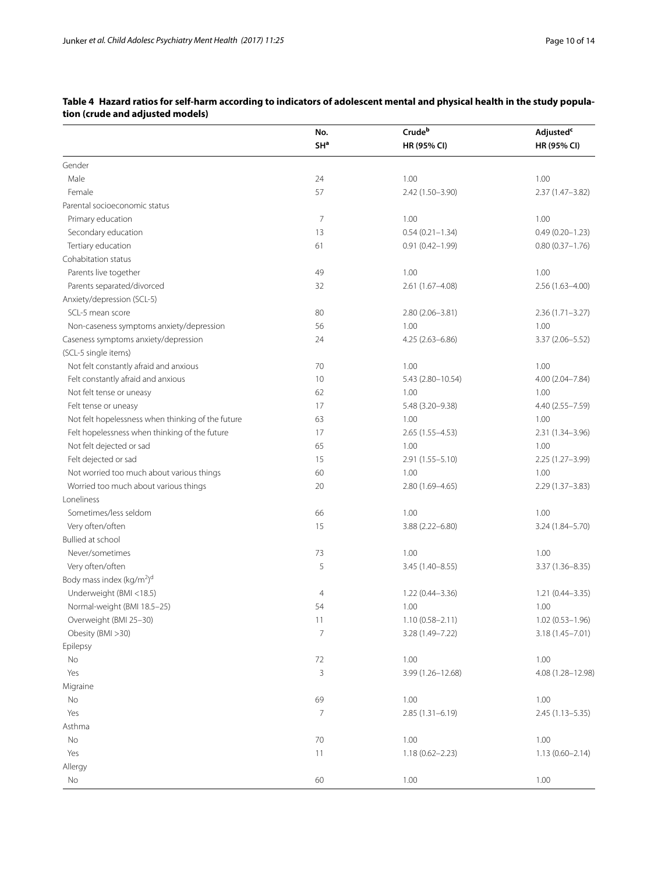|                                                   | No.            | <b>Crude</b> b      | <b>Adjusted<sup>c</sup></b> |
|---------------------------------------------------|----------------|---------------------|-----------------------------|
|                                                   | <b>SHª</b>     | HR (95% CI)         | HR (95% CI)                 |
| Gender                                            |                |                     |                             |
| Male                                              | 24             | 1.00                | 1.00                        |
| Female                                            | 57             | 2.42 (1.50-3.90)    | 2.37 (1.47-3.82)            |
| Parental socioeconomic status                     |                |                     |                             |
| Primary education                                 | 7              | 1.00                | 1.00                        |
| Secondary education                               | 13             | $0.54(0.21 - 1.34)$ | $0.49(0.20 - 1.23)$         |
| Tertiary education                                | 61             | $0.91(0.42 - 1.99)$ | $0.80(0.37 - 1.76)$         |
| Cohabitation status                               |                |                     |                             |
| Parents live together                             | 49             | 1.00                | 1.00                        |
| Parents separated/divorced                        | 32             | 2.61 (1.67-4.08)    | 2.56 (1.63-4.00)            |
| Anxiety/depression (SCL-5)                        |                |                     |                             |
| SCL-5 mean score                                  | 80             | 2.80 (2.06-3.81)    | $2.36(1.71 - 3.27)$         |
| Non-caseness symptoms anxiety/depression          | 56             | 1.00                | 1.00                        |
| Caseness symptoms anxiety/depression              | 24             | 4.25 (2.63-6.86)    | 3.37 (2.06-5.52)            |
| (SCL-5 single items)                              |                |                     |                             |
| Not felt constantly afraid and anxious            | 70             | 1.00                | 1.00                        |
| Felt constantly afraid and anxious                | 10             | 5.43 (2.80-10.54)   | 4.00 (2.04-7.84)            |
| Not felt tense or uneasy                          | 62             | 1.00                | 1.00                        |
| Felt tense or uneasy                              | 17             | 5.48 (3.20-9.38)    | 4.40 (2.55-7.59)            |
| Not felt hopelessness when thinking of the future | 63             | 1.00                | 1.00                        |
| Felt hopelessness when thinking of the future     | 17             | 2.65 (1.55-4.53)    | 2.31 (1.34-3.96)            |
| Not felt dejected or sad                          | 65             | 1.00                | 1.00                        |
| Felt dejected or sad                              | 15             | 2.91 (1.55-5.10)    | 2.25 (1.27-3.99)            |
| Not worried too much about various things         | 60             | 1.00                | 1.00                        |
| Worried too much about various things             | 20             | 2.80 (1.69-4.65)    | 2.29 (1.37-3.83)            |
| Loneliness                                        |                |                     |                             |
| Sometimes/less seldom                             | 66             | 1.00                | 1.00                        |
| Very often/often                                  | 15             | 3.88 (2.22-6.80)    | 3.24 (1.84-5.70)            |
| Bullied at school                                 |                |                     |                             |
| Never/sometimes                                   | 73             | 1.00                | 1.00                        |
| Very often/often                                  | 5              | 3.45 (1.40-8.55)    | 3.37 (1.36-8.35)            |
| Body mass index (kg/m <sup>2</sup> ) <sup>d</sup> |                |                     |                             |
| Underweight (BMI <18.5)                           | $\overline{4}$ | $1.22(0.44 - 3.36)$ | $1.21(0.44 - 3.35)$         |
| Normal-weight (BMI 18.5-25)                       | 54             | 1.00                | 1.00                        |
| Overweight (BMI 25-30)                            | 11             | $1.10(0.58 - 2.11)$ | $1.02(0.53 - 1.96)$         |
| Obesity (BMI > 30)                                | 7              | 3.28 (1.49-7.22)    | $3.18(1.45 - 7.01)$         |
| Epilepsy                                          |                |                     |                             |
| No                                                | 72             | 1.00                | 1.00                        |
| Yes                                               | 3              | 3.99 (1.26-12.68)   | 4.08 (1.28-12.98)           |
| Migraine                                          |                |                     |                             |
| No                                                | 69             | 1.00                | 1.00                        |
| Yes                                               | $\overline{7}$ | 2.85 (1.31-6.19)    | $2.45(1.13 - 5.35)$         |
| Asthma                                            |                |                     |                             |
| No                                                | 70             | 1.00                | 1.00                        |
| Yes                                               | 11             | $1.18(0.62 - 2.23)$ | $1.13(0.60 - 2.14)$         |
| Allergy                                           |                |                     |                             |
|                                                   |                |                     |                             |
| No                                                | 60             | 1.00                | 1.00                        |

# <span id="page-9-0"></span>**Table 4 Hazard ratios for self-harm according to indicators of adolescent mental and physical health in the study population (crude and adjusted models)**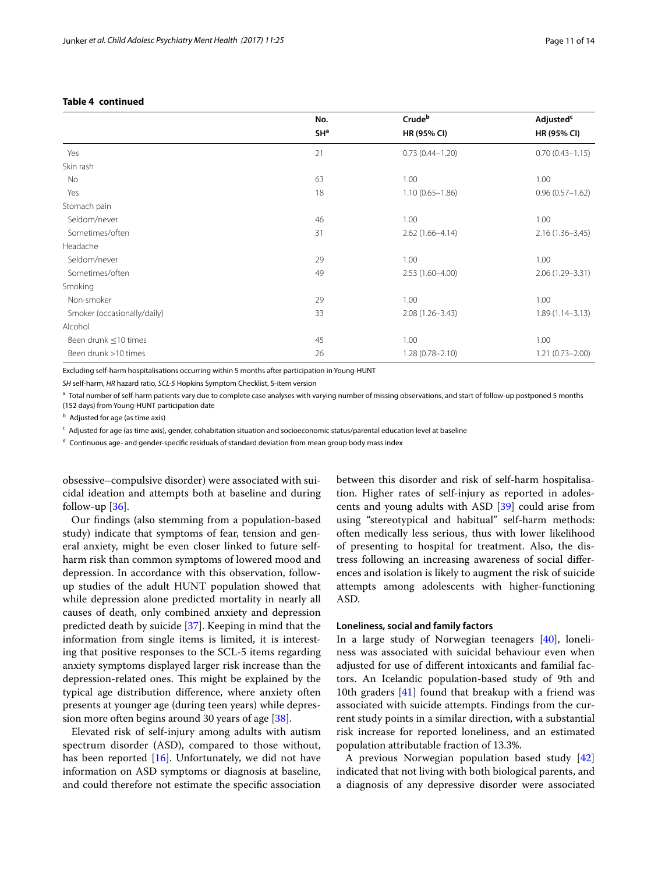# **Table 4 continued**

|                             | No.                   | Crudeb              | Adjusted <sup>c</sup> |
|-----------------------------|-----------------------|---------------------|-----------------------|
|                             | <b>SH<sup>a</sup></b> | HR (95% CI)         | HR (95% CI)           |
| Yes                         | 21                    | $0.73(0.44 - 1.20)$ | $0.70(0.43 - 1.15)$   |
| Skin rash                   |                       |                     |                       |
| No                          | 63                    | 1.00                | 1.00                  |
| Yes                         | 18                    | $1.10(0.65 - 1.86)$ | $0.96(0.57 - 1.62)$   |
| Stomach pain                |                       |                     |                       |
| Seldom/never                | 46                    | 1.00                | 1.00                  |
| Sometimes/often             | 31                    | $2.62(1.66 - 4.14)$ | $2.16(1.36 - 3.45)$   |
| Headache                    |                       |                     |                       |
| Seldom/never                | 29                    | 1.00                | 1.00                  |
| Sometimes/often             | 49                    | $2.53(1.60 - 4.00)$ | $2.06(1.29 - 3.31)$   |
| Smoking                     |                       |                     |                       |
| Non-smoker                  | 29                    | 1.00                | 1.00                  |
| Smoker (occasionally/daily) | 33                    | $2.08(1.26 - 3.43)$ | $1.89(1.14 - 3.13)$   |
| Alcohol                     |                       |                     |                       |
| Been drunk $\leq$ 10 times  | 45                    | 1.00                | 1.00                  |
| Been drunk >10 times        | 26                    | $1.28(0.78 - 2.10)$ | $1.21(0.73 - 2.00)$   |

Excluding self-harm hospitalisations occurring within 5 months after participation in Young-HUNT

*SH* self-harm, *HR* hazard ratio, *SCL-5* Hopkins Symptom Checklist, 5-item version

<sup>a</sup> Total number of self-harm patients vary due to complete case analyses with varying number of missing observations, and start of follow-up postponed 5 months (152 days) from Young-HUNT participation date

**b** Adjusted for age (as time axis)

 $c$  Adjusted for age (as time axis), gender, cohabitation situation and socioeconomic status/parental education level at baseline

 $d$  Continuous age- and gender-specific residuals of standard deviation from mean group body mass index

obsessive–compulsive disorder) were associated with suicidal ideation and attempts both at baseline and during follow-up  $[36]$  $[36]$ .

Our fndings (also stemming from a population-based study) indicate that symptoms of fear, tension and general anxiety, might be even closer linked to future selfharm risk than common symptoms of lowered mood and depression. In accordance with this observation, followup studies of the adult HUNT population showed that while depression alone predicted mortality in nearly all causes of death, only combined anxiety and depression predicted death by suicide [\[37\]](#page-13-20). Keeping in mind that the information from single items is limited, it is interesting that positive responses to the SCL-5 items regarding anxiety symptoms displayed larger risk increase than the depression-related ones. This might be explained by the typical age distribution diference, where anxiety often presents at younger age (during teen years) while depression more often begins around 30 years of age [[38\]](#page-13-21).

Elevated risk of self-injury among adults with autism spectrum disorder (ASD), compared to those without, has been reported  $[16]$  $[16]$ . Unfortunately, we did not have information on ASD symptoms or diagnosis at baseline, and could therefore not estimate the specifc association

between this disorder and risk of self-harm hospitalisation. Higher rates of self-injury as reported in adolescents and young adults with ASD [\[39\]](#page-13-22) could arise from using "stereotypical and habitual" self-harm methods: often medically less serious, thus with lower likelihood of presenting to hospital for treatment. Also, the distress following an increasing awareness of social diferences and isolation is likely to augment the risk of suicide attempts among adolescents with higher-functioning ASD.

# **Loneliness, social and family factors**

In a large study of Norwegian teenagers [[40\]](#page-13-23), loneliness was associated with suicidal behaviour even when adjusted for use of diferent intoxicants and familial factors. An Icelandic population-based study of 9th and 10th graders [[41\]](#page-13-24) found that breakup with a friend was associated with suicide attempts. Findings from the current study points in a similar direction, with a substantial risk increase for reported loneliness, and an estimated population attributable fraction of 13.3%.

A previous Norwegian population based study [[42](#page-13-25)] indicated that not living with both biological parents, and a diagnosis of any depressive disorder were associated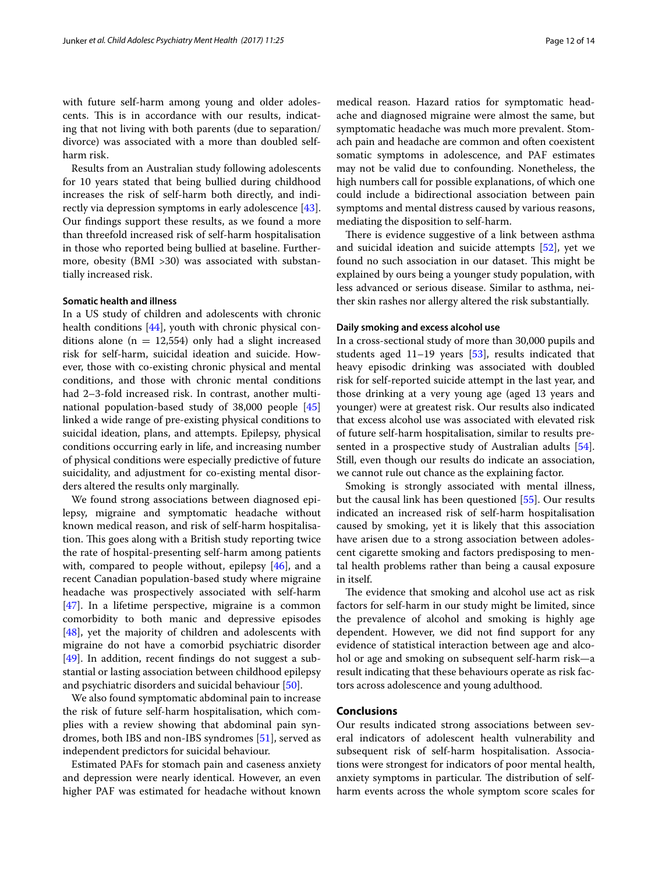with future self-harm among young and older adolescents. This is in accordance with our results, indicating that not living with both parents (due to separation/ divorce) was associated with a more than doubled selfharm risk.

Results from an Australian study following adolescents for 10 years stated that being bullied during childhood increases the risk of self-harm both directly, and indirectly via depression symptoms in early adolescence [\[43](#page-13-26)]. Our fndings support these results, as we found a more than threefold increased risk of self-harm hospitalisation in those who reported being bullied at baseline. Furthermore, obesity (BMI  $>30$ ) was associated with substantially increased risk.

## **Somatic health and illness**

In a US study of children and adolescents with chronic health conditions [[44\]](#page-13-27), youth with chronic physical conditions alone ( $n = 12,554$ ) only had a slight increased risk for self-harm, suicidal ideation and suicide. However, those with co-existing chronic physical and mental conditions, and those with chronic mental conditions had 2–3-fold increased risk. In contrast, another multinational population-based study of 38,000 people [[45](#page-13-28)] linked a wide range of pre-existing physical conditions to suicidal ideation, plans, and attempts. Epilepsy, physical conditions occurring early in life, and increasing number of physical conditions were especially predictive of future suicidality, and adjustment for co-existing mental disorders altered the results only marginally.

We found strong associations between diagnosed epilepsy, migraine and symptomatic headache without known medical reason, and risk of self-harm hospitalisation. This goes along with a British study reporting twice the rate of hospital-presenting self-harm among patients with, compared to people without, epilepsy [[46\]](#page-13-29), and a recent Canadian population-based study where migraine headache was prospectively associated with self-harm [[47\]](#page-13-30). In a lifetime perspective, migraine is a common comorbidity to both manic and depressive episodes [[48\]](#page-13-31), yet the majority of children and adolescents with migraine do not have a comorbid psychiatric disorder  $[49]$  $[49]$ . In addition, recent findings do not suggest a substantial or lasting association between childhood epilepsy and psychiatric disorders and suicidal behaviour [[50\]](#page-13-33).

We also found symptomatic abdominal pain to increase the risk of future self-harm hospitalisation, which complies with a review showing that abdominal pain syndromes, both IBS and non-IBS syndromes [\[51\]](#page-13-34), served as independent predictors for suicidal behaviour.

Estimated PAFs for stomach pain and caseness anxiety and depression were nearly identical. However, an even higher PAF was estimated for headache without known medical reason. Hazard ratios for symptomatic headache and diagnosed migraine were almost the same, but symptomatic headache was much more prevalent. Stomach pain and headache are common and often coexistent somatic symptoms in adolescence, and PAF estimates may not be valid due to confounding. Nonetheless, the high numbers call for possible explanations, of which one could include a bidirectional association between pain symptoms and mental distress caused by various reasons, mediating the disposition to self-harm.

There is evidence suggestive of a link between asthma and suicidal ideation and suicide attempts [[52](#page-13-35)], yet we found no such association in our dataset. This might be explained by ours being a younger study population, with less advanced or serious disease. Similar to asthma, neither skin rashes nor allergy altered the risk substantially.

#### **Daily smoking and excess alcohol use**

In a cross-sectional study of more than 30,000 pupils and students aged  $11-19$  years [[53](#page-13-36)], results indicated that heavy episodic drinking was associated with doubled risk for self-reported suicide attempt in the last year, and those drinking at a very young age (aged 13 years and younger) were at greatest risk. Our results also indicated that excess alcohol use was associated with elevated risk of future self-harm hospitalisation, similar to results presented in a prospective study of Australian adults [\[54](#page-13-37)]. Still, even though our results do indicate an association, we cannot rule out chance as the explaining factor.

Smoking is strongly associated with mental illness, but the causal link has been questioned [[55\]](#page-13-38). Our results indicated an increased risk of self-harm hospitalisation caused by smoking, yet it is likely that this association have arisen due to a strong association between adolescent cigarette smoking and factors predisposing to mental health problems rather than being a causal exposure in itself.

The evidence that smoking and alcohol use act as risk factors for self-harm in our study might be limited, since the prevalence of alcohol and smoking is highly age dependent. However, we did not fnd support for any evidence of statistical interaction between age and alcohol or age and smoking on subsequent self-harm risk—a result indicating that these behaviours operate as risk factors across adolescence and young adulthood.

## **Conclusions**

Our results indicated strong associations between several indicators of adolescent health vulnerability and subsequent risk of self-harm hospitalisation. Associations were strongest for indicators of poor mental health, anxiety symptoms in particular. The distribution of selfharm events across the whole symptom score scales for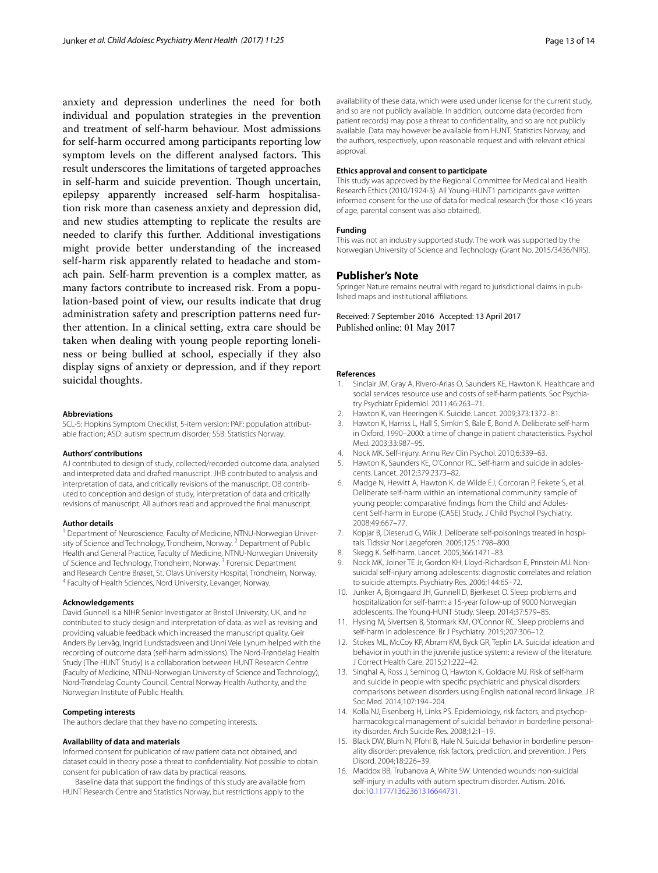anxiety and depression underlines the need for both individual and population strategies in the prevention and treatment of self-harm behaviour. Most admissions for self-harm occurred among participants reporting low symptom levels on the different analysed factors. This result underscores the limitations of targeted approaches in self-harm and suicide prevention. Though uncertain, epilepsy apparently increased self-harm hospitalisation risk more than caseness anxiety and depression did, and new studies attempting to replicate the results are needed to clarify this further. Additional investigations might provide better understanding of the increased self-harm risk apparently related to headache and stomach pain. Self-harm prevention is a complex matter, as many factors contribute to increased risk. From a population-based point of view, our results indicate that drug administration safety and prescription patterns need further attention. In a clinical setting, extra care should be taken when dealing with young people reporting loneliness or being bullied at school, especially if they also display signs of anxiety or depression, and if they report suicidal thoughts.

#### **Abbreviations**

SCL-5: Hopkins Symptom Checklist, 5-item version; PAF: population attributable fraction; ASD: autism spectrum disorder; SSB: Statistics Norway.

#### **Authors' contributions**

AJ contributed to design of study, collected/recorded outcome data, analysed and interpreted data and drafted manuscript. JHB contributed to analysis and interpretation of data, and critically revisions of the manuscript. OB contributed to conception and design of study, interpretation of data and critically revisions of manuscript. All authors read and approved the fnal manuscript.

#### **Author details**

<sup>1</sup> Department of Neuroscience, Faculty of Medicine, NTNU-Norwegian University of Science and Technology, Trondheim, Norway.<sup>2</sup> Department of Public Health and General Practice, Faculty of Medicine, NTNU-Norwegian University of Science and Technology, Trondheim, Norway.<sup>3</sup> Forensic Department and Research Centre Brøset, St. Olavs University Hospital, Trondheim, Norway.<br><sup>4</sup> Faculty of Health Sciences, Nord University, Levanger, Norway.

#### **Acknowledgements**

David Gunnell is a NIHR Senior Investigator at Bristol University, UK, and he contributed to study design and interpretation of data, as well as revising and providing valuable feedback which increased the manuscript quality. Geir Anders By Lervåg, Ingrid Lundstadsveen and Unni Veie Lynum helped with the recording of outcome data (self-harm admissions). The Nord-Trøndelag Health Study (The HUNT Study) is a collaboration between HUNT Research Centre (Faculty of Medicine, NTNU-Norwegian University of Science and Technology), Nord-Trøndelag County Council, Central Norway Health Authority, and the Norwegian Institute of Public Health.

#### **Competing interests**

The authors declare that they have no competing interests.

#### **Availability of data and materials**

Informed consent for publication of raw patient data not obtained, and dataset could in theory pose a threat to confdentiality. Not possible to obtain consent for publication of raw data by practical reasons.

Baseline data that support the fndings of this study are available from HUNT Research Centre and Statistics Norway, but restrictions apply to the

availability of these data, which were used under license for the current study, and so are not publicly available. In addition, outcome data (recorded from patient records) may pose a threat to confdentiality, and so are not publicly available. Data may however be available from HUNT, Statistics Norway, and the authors, respectively, upon reasonable request and with relevant ethical approval.

#### **Ethics approval and consent to participate**

This study was approved by the Regional Committee for Medical and Health Research Ethics (2010/1924-3). All Young-HUNT1 participants gave written informed consent for the use of data for medical research (for those <16 years of age, parental consent was also obtained).

#### **Funding**

This was not an industry supported study. The work was supported by the Norwegian University of Science and Technology (Grant No. 2015/3436/NRS).

## **Publisher's Note**

Springer Nature remains neutral with regard to jurisdictional claims in published maps and institutional afliations.

Received: 7 September 2016 Accepted: 13 April 2017 Published online: 01 May 2017

#### **References**

- <span id="page-12-0"></span>Sinclair JM, Gray A, Rivero-Arias O, Saunders KE, Hawton K. Healthcare and social services resource use and costs of self-harm patients. Soc Psychiatry Psychiatr Epidemiol. 2011;46:263–71.
- <span id="page-12-1"></span>2. Hawton K, van Heeringen K. Suicide. Lancet. 2009;373:1372–81.
- <span id="page-12-2"></span>3. Hawton K, Harriss L, Hall S, Simkin S, Bale E, Bond A. Deliberate self-harm in Oxford, 1990–2000: a time of change in patient characteristics. Psychol Med. 2003;33:987–95.
- <span id="page-12-3"></span>4. Nock MK. Self-injury. Annu Rev Clin Psychol. 2010;6:339–63.
- <span id="page-12-4"></span>5. Hawton K, Saunders KE, O'Connor RC. Self-harm and suicide in adolescents. Lancet. 2012;379:2373–82.
- <span id="page-12-5"></span>Madge N, Hewitt A, Hawton K, de Wilde EJ, Corcoran P, Fekete S, et al. Deliberate self-harm within an international community sample of young people: comparative fndings from the Child and Adolescent Self-harm in Europe (CASE) Study. J Child Psychol Psychiatry. 2008;49:667–77.
- <span id="page-12-6"></span>7. Kopjar B, Dieserud G, Wiik J. Deliberate self-poisonings treated in hospitals. Tidsskr Nor Laegeforen. 2005;125:1798–800.
- <span id="page-12-7"></span>8. Skegg K. Self-harm. Lancet. 2005;366:1471–83.
- <span id="page-12-8"></span>9. Nock MK, Joiner TE Jr, Gordon KH, Lloyd-Richardson E, Prinstein MJ. Nonsuicidal self-injury among adolescents: diagnostic correlates and relation to suicide attempts. Psychiatry Res. 2006;144:65–72.
- <span id="page-12-9"></span>10. Junker A, Bjorngaard JH, Gunnell D, Bjerkeset O. Sleep problems and hospitalization for self-harm: a 15-year follow-up of 9000 Norwegian adolescents. The Young-HUNT Study. Sleep. 2014;37:579–85.
- <span id="page-12-10"></span>11. Hysing M, Sivertsen B, Stormark KM, O'Connor RC. Sleep problems and self-harm in adolescence. Br J Psychiatry. 2015;207:306–12.
- <span id="page-12-11"></span>12. Stokes ML, McCoy KP, Abram KM, Byck GR, Teplin LA. Suicidal ideation and behavior in youth in the juvenile justice system: a review of the literature. J Correct Health Care. 2015;21:222–42.
- <span id="page-12-12"></span>13. Singhal A, Ross J, Seminog O, Hawton K, Goldacre MJ. Risk of self-harm and suicide in people with specifc psychiatric and physical disorders: comparisons between disorders using English national record linkage. J R Soc Med. 2014;107:194–204.
- <span id="page-12-13"></span>14. Kolla NJ, Eisenberg H, Links PS. Epidemiology, risk factors, and psychopharmacological management of suicidal behavior in borderline personality disorder. Arch Suicide Res. 2008;12:1–19.
- <span id="page-12-14"></span>15. Black DW, Blum N, Pfohl B, Hale N. Suicidal behavior in borderline personality disorder: prevalence, risk factors, prediction, and prevention. J Pers Disord. 2004;18:226–39.
- <span id="page-12-15"></span>16. Maddox BB, Trubanova A, White SW. Untended wounds: non-suicidal self-injury in adults with autism spectrum disorder. Autism. 2016. doi:[10.1177/1362361316644731](http://dx.doi.org/10.1177/1362361316644731).